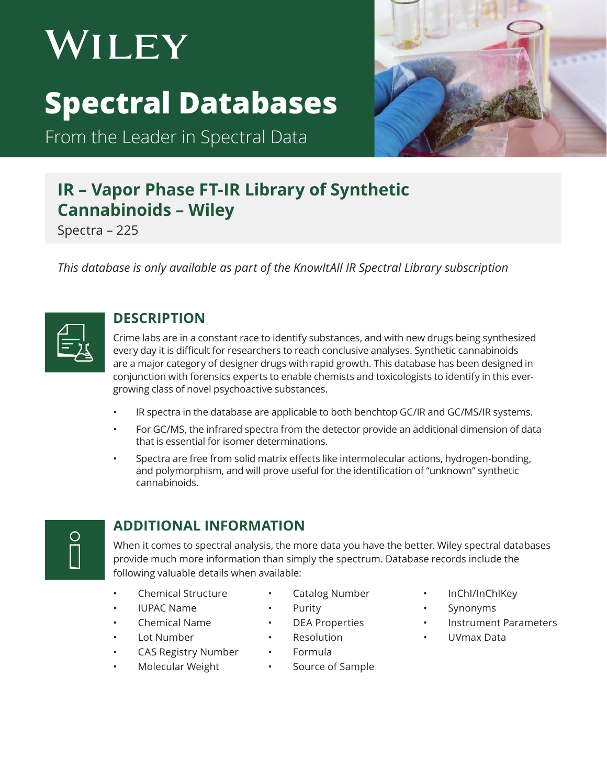# WILEY **Spectral Databases**

From the Leader in Spectral Data



# **IR – Vapor Phase FT-IR Library of Synthetic Cannabinoids – Wiley**

Spectra – 225

*This database is only available as part of the KnowItAll IR Spectral Library subscription*



#### **DESCRIPTION**

Crime labs are in a constant race to identify substances, and with new drugs being synthesized every day it is difficult for researchers to reach conclusive analyses. Synthetic cannabinoids are a major category of designer drugs with rapid growth. This database has been designed in conjunction with forensics experts to enable chemists and toxicologists to identify in this evergrowing class of novel psychoactive substances.

- IR spectra in the database are applicable to both benchtop GC/IR and GC/MS/IR systems.
- For GC/MS, the infrared spectra from the detector provide an additional dimension of data that is essential for isomer determinations.
- Spectra are free from solid matrix effects like intermolecular actions, hydrogen-bonding, and polymorphism, and will prove useful for the identification of "unknown" synthetic cannabinoids.



## **ADDITIONAL INFORMATION**

When it comes to spectral analysis, the more data you have the better. Wiley spectral databases provide much more information than simply the spectrum. Database records include the following valuable details when available:

Catalog Number

- Chemical Structure
- IUPAC Name
- Chemical Name
- Lot Number
- 
- **Resolution** • Formula

• Purity • DEA Properties

- Molecular Weight
	- Source of Sample
- InChI/InChIKey
- **Synonyms**
- Instrument Parameters
- UVmax Data

• CAS Registry Number